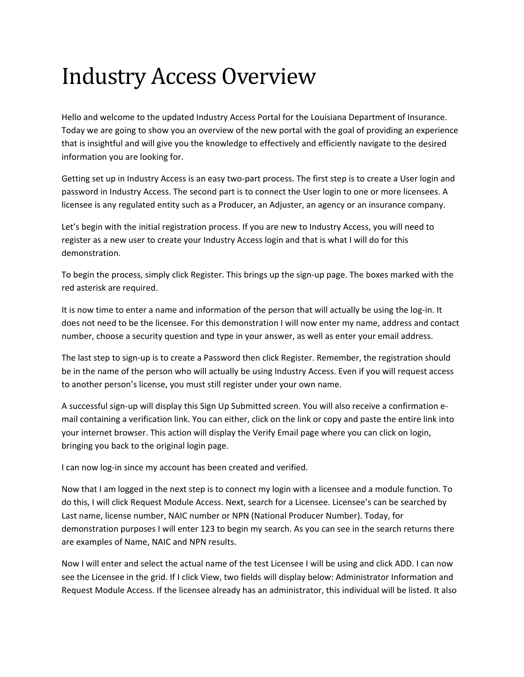## Industry Access Overview

Hello and welcome to the updated Industry Access Portal for the Louisiana Department of Insurance. Today we are going to show you an overview of the new portal with the goal of providing an experience that is insightful and will give you the knowledge to effectively and efficiently navigate to the desired information you are looking for.

Getting set up in Industry Access is an easy two‐part process. The first step is to create a User login and password in Industry Access. The second part is to connect the User login to one or more licensees. A licensee is any regulated entity such as a Producer, an Adjuster, an agency or an insurance company.

Let's begin with the initial registration process. If you are new to Industry Access, you will need to register as a new user to create your Industry Access login and that is what I will do for this demonstration.

To begin the process, simply click Register. This brings up the sign-up page. The boxes marked with the red asterisk are required.

It is now time to enter a name and information of the person that will actually be using the log-in. It does not need to be the licensee. For this demonstration I will now enter my name, address and contact number, choose a security question and type in your answer, as well as enter your email address.

The last step to sign‐up is to create a Password then click Register. Remember, the registration should be in the name of the person who will actually be using Industry Access. Even if you will request access to another person's license, you must still register under your own name.

A successful sign‐up will display this Sign Up Submitted screen. You will also receive a confirmation e‐ mail containing a verification link. You can either, click on the link or copy and paste the entire link into your internet browser. This action will display the Verify Email page where you can click on login, bringing you back to the original login page.

I can now log-in since my account has been created and verified.

Now that I am logged in the next step is to connect my login with a licensee and a module function. To do this, I will click Request Module Access. Next, search for a Licensee. Licensee's can be searched by Last name, license number, NAIC number or NPN (National Producer Number). Today, for demonstration purposes I will enter 123 to begin my search. As you can see in the search returns there are examples of Name, NAIC and NPN results.

Now I will enter and select the actual name of the test Licensee I will be using and click ADD. I can now see the Licensee in the grid. If I click View, two fields will display below: Administrator Information and Request Module Access. If the licensee already has an administrator, this individual will be listed. It also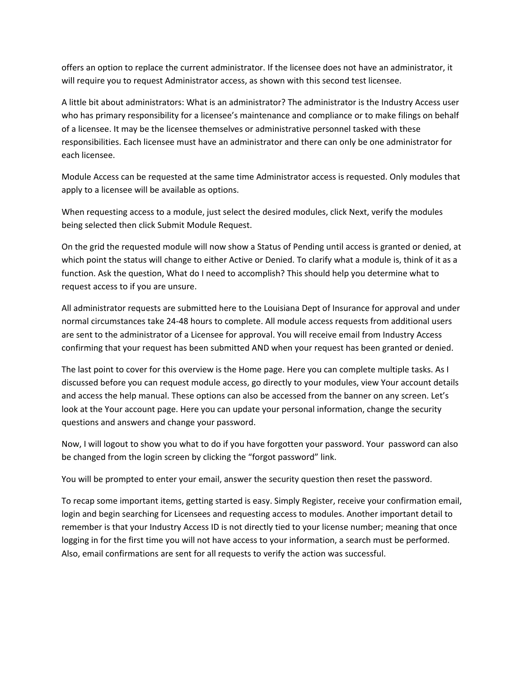offers an option to replace the current administrator. If the licensee does not have an administrator, it will require you to request Administrator access, as shown with this second test licensee.

A little bit about administrators: What is an administrator? The administrator is the Industry Access user who has primary responsibility for a licensee's maintenance and compliance or to make filings on behalf of a licensee. It may be the licensee themselves or administrative personnel tasked with these responsibilities. Each licensee must have an administrator and there can only be one administrator for each licensee.

Module Access can be requested at the same time Administrator access is requested. Only modules that apply to a licensee will be available as options.

When requesting access to a module, just select the desired modules, click Next, verify the modules being selected then click Submit Module Request.

On the grid the requested module will now show a Status of Pending until access is granted or denied, at which point the status will change to either Active or Denied. To clarify what a module is, think of it as a function. Ask the question, What do I need to accomplish? This should help you determine what to request access to if you are unsure.

All administrator requests are submitted here to the Louisiana Dept of Insurance for approval and under normal circumstances take 24‐48 hours to complete. All module access requests from additional users are sent to the administrator of a Licensee for approval. You will receive email from Industry Access confirming that your request has been submitted AND when your request has been granted or denied.

The last point to cover for this overview is the Home page. Here you can complete multiple tasks. As I discussed before you can request module access, go directly to your modules, view Your account details and access the help manual. These options can also be accessed from the banner on any screen. Let's look at the Your account page. Here you can update your personal information, change the security questions and answers and change your password.

Now, I will logout to show you what to do if you have forgotten your password. Your password can also be changed from the login screen by clicking the "forgot password" link.

You will be prompted to enter your email, answer the security question then reset the password.

To recap some important items, getting started is easy. Simply Register, receive your confirmation email, login and begin searching for Licensees and requesting access to modules. Another important detail to remember is that your Industry Access ID is not directly tied to your license number; meaning that once logging in for the first time you will not have access to your information, a search must be performed. Also, email confirmations are sent for all requests to verify the action was successful.